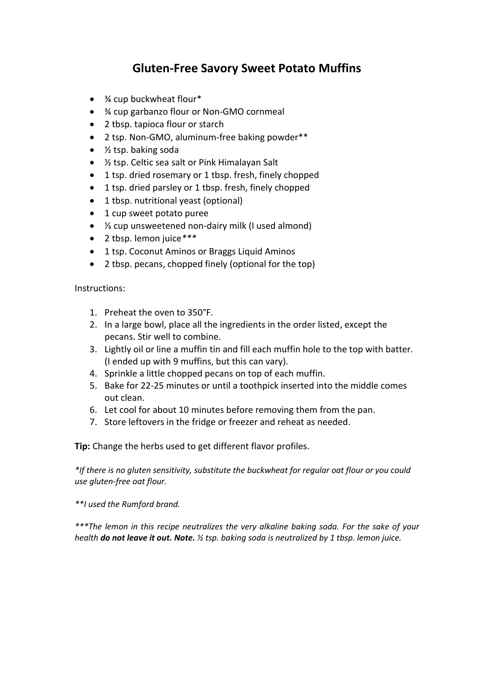## **Gluten-Free Savory Sweet Potato Muffins**

- <sup>3</sup>/4 cup buckwheat flour\*
- ¾ cup garbanzo flour or Non-GMO cornmeal
- 2 tbsp. tapioca flour or starch
- 2 tsp. Non-GMO, aluminum-free baking powder\*\*
- ½ tsp. baking soda
- ½ tsp. Celtic sea salt or Pink Himalayan Salt
- 1 tsp. dried rosemary or 1 tbsp. fresh, finely chopped
- 1 tsp. dried parsley or 1 tbsp. fresh, finely chopped
- 1 tbsp. nutritional yeast (optional)
- 1 cup sweet potato puree
- ⅓ cup unsweetened non-dairy milk (I used almond)
- 2 tbsp. lemon juice*\*\*\**
- 1 tsp. Coconut Aminos or Braggs Liquid Aminos
- 2 tbsp. pecans, chopped finely (optional for the top)

Instructions:

- 1. Preheat the oven to 350°F.
- 2. In a large bowl, place all the ingredients in the order listed, except the pecans. Stir well to combine.
- 3. Lightly oil or line a muffin tin and fill each muffin hole to the top with batter. (I ended up with 9 muffins, but this can vary).
- 4. Sprinkle a little chopped pecans on top of each muffin.
- 5. Bake for 22-25 minutes or until a toothpick inserted into the middle comes out clean.
- 6. Let cool for about 10 minutes before removing them from the pan.
- 7. Store leftovers in the fridge or freezer and reheat as needed.

**Tip:** Change the herbs used to get different flavor profiles.

*\*If there is no gluten sensitivity, substitute the buckwheat for regular oat flour or you could use gluten-free oat flour.*

*\*\*I used the Rumford brand.*

*\*\*\*The lemon in this recipe neutralizes the very alkaline baking soda. For the sake of your health do not leave it out. Note. ½ tsp. baking soda is neutralized by 1 tbsp. lemon juice.*